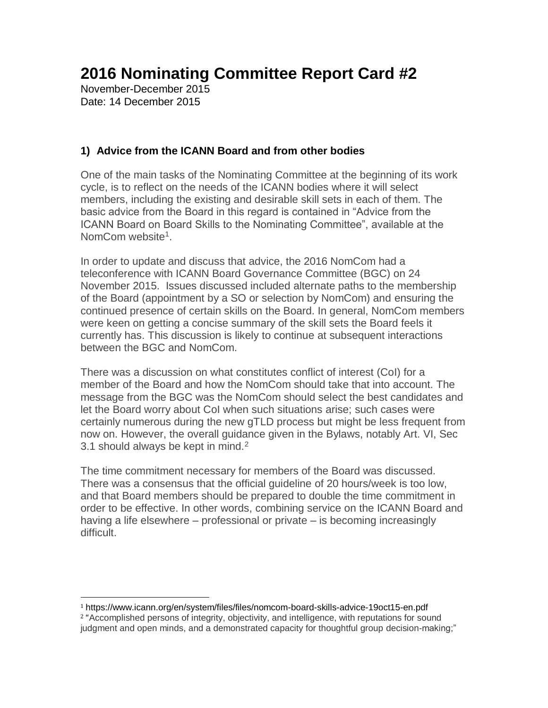# **2016 Nominating Committee Report Card #2**

November-December 2015 Date: 14 December 2015

 $\overline{\phantom{a}}$ 

### **1) Advice from the ICANN Board and from other bodies**

One of the main tasks of the Nominating Committee at the beginning of its work cycle, is to reflect on the needs of the ICANN bodies where it will select members, including the existing and desirable skill sets in each of them. The basic advice from the Board in this regard is contained in "Advice from the ICANN Board on Board Skills to the Nominating Committee", available at the NomCom website<sup>1</sup>.

In order to update and discuss that advice, the 2016 NomCom had a teleconference with ICANN Board Governance Committee (BGC) on 24 November 2015. Issues discussed included alternate paths to the membership of the Board (appointment by a SO or selection by NomCom) and ensuring the continued presence of certain skills on the Board. In general, NomCom members were keen on getting a concise summary of the skill sets the Board feels it currently has. This discussion is likely to continue at subsequent interactions between the BGC and NomCom.

There was a discussion on what constitutes conflict of interest (CoI) for a member of the Board and how the NomCom should take that into account. The message from the BGC was the NomCom should select the best candidates and let the Board worry about CoI when such situations arise; such cases were certainly numerous during the new gTLD process but might be less frequent from now on. However, the overall guidance given in the Bylaws, notably Art. VI, Sec 3.1 should always be kept in mind.<sup>2</sup>

The time commitment necessary for members of the Board was discussed. There was a consensus that the official guideline of 20 hours/week is too low, and that Board members should be prepared to double the time commitment in order to be effective. In other words, combining service on the ICANN Board and having a life elsewhere – professional or private – is becoming increasingly difficult.

<sup>1</sup> https://www.icann.org/en/system/files/files/nomcom-board-skills-advice-19oct15-en.pdf <sup>2</sup> "Accomplished persons of integrity, objectivity, and intelligence, with reputations for sound judgment and open minds, and a demonstrated capacity for thoughtful group decision-making;"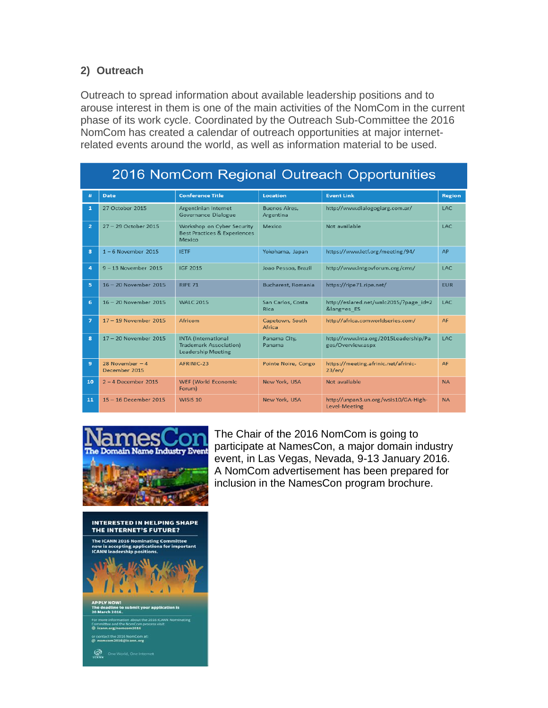#### **2) Outreach**

Outreach to spread information about available leadership positions and to arouse interest in them is one of the main activities of the NomCom in the current phase of its work cycle. Coordinated by the Outreach Sub-Committee the 2016 NomCom has created a calendar of outreach opportunities at major internetrelated events around the world, as well as information material to be used.

| 2016 NomCom Regional Outreach Opportunities |                                   |                                                                                   |                            |                                                            |               |
|---------------------------------------------|-----------------------------------|-----------------------------------------------------------------------------------|----------------------------|------------------------------------------------------------|---------------|
| #                                           | <b>Date</b>                       | <b>Conference Title</b>                                                           | Location                   | <b>Event Link</b>                                          | <b>Region</b> |
|                                             | 27 October 2015                   | Argentinian Internet<br>Governance Dialogue                                       | Buenos Aires.<br>Argentina | http://www.dialogogiarg.com.ar/                            | <b>LAC</b>    |
| $\overline{2}$                              | 27 - 29 October 2015              | Workshop on Cyber Security<br>Best Practices & Experiences<br>Mexico              | Mexico                     | Not available                                              | LAC           |
| 3                                           | $1 - 6$ November 2015             | <b>IETF</b>                                                                       | Yokohama, Japan            | https://www.ietf.org/meeting/94/                           | AP            |
| $\overline{a}$                              | $9 - 13$ November 2015            | <b>IGF 2015</b>                                                                   | Joao Pessoa, Brazil        | http://www.intgovforum.org/cms/                            | LAC           |
| 5                                           | 16 - 20 November 2015             | <b>RIPF 71</b>                                                                    | Bucharest, Romania         | https://ripe71.ripe.net/                                   | <b>FUR</b>    |
| 6                                           | $16 - 20$ November 2015           | <b>WALC 2015</b>                                                                  | San Carlos, Costa<br>Rica  | http://eslared.net/walc2015/?page id=2<br>⟨=es ES          | LAC.          |
| $\overline{7}$                              | 17 - 19 November 2015             | Africom                                                                           | Capetown, South<br>Africa  | http://africa.comworldseries.com/                          | AF            |
| 8                                           | $17 - 20$ November 2015           | <b>INTA</b> (International<br><b>Trademark Association)</b><br>Leadership Meeting | Panama City,<br>Panama     | http://www.inta.org/2015Leadership/Pa<br>ges/Overview.aspx | LAC           |
| 9                                           | 28 November $-4$<br>December 2015 | AFRINIC-23                                                                        | Pointe Noire, Congo        | https://meeting.afrinic.net/afrinic-<br>23/en/             | <b>AF</b>     |
| 10                                          | $2 - 4$ December 2015             | <b>WEF (World Economic</b><br>Forum)                                              | New York, USA              | Not available                                              | <b>NA</b>     |
| 11                                          | $15 - 16$ December 2015           | WISIS 10                                                                          | New York, USA              | http://unpan3.un.org/wsis10/GA-High-<br>Level-Meeting      | <b>NA</b>     |



The Chair of the 2016 NomCom is going to participate at NamesCon, a major domain industry event, in Las Vegas, Nevada, 9-13 January 2016. A NomCom advertisement has been prepared for inclusion in the NamesCon program brochure.

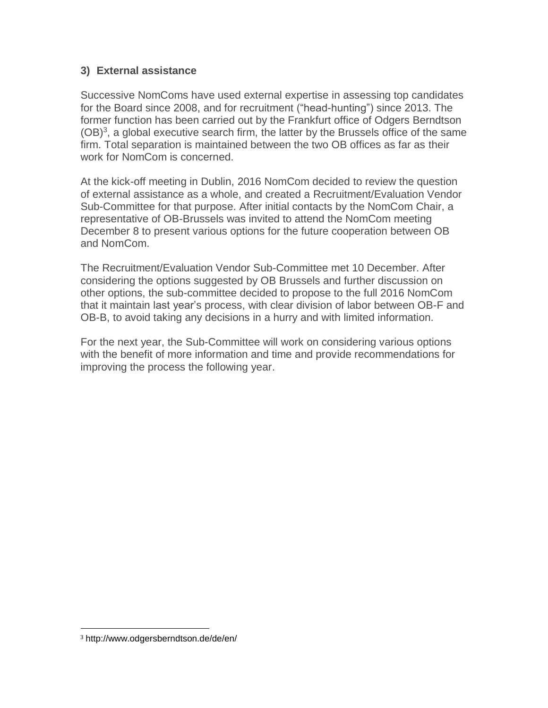#### **3) External assistance**

Successive NomComs have used external expertise in assessing top candidates for the Board since 2008, and for recruitment ("head-hunting") since 2013. The former function has been carried out by the Frankfurt office of Odgers Berndtson  $(OB)^3$ , a global executive search firm, the latter by the Brussels office of the same firm. Total separation is maintained between the two OB offices as far as their work for NomCom is concerned.

At the kick-off meeting in Dublin, 2016 NomCom decided to review the question of external assistance as a whole, and created a Recruitment/Evaluation Vendor Sub-Committee for that purpose. After initial contacts by the NomCom Chair, a representative of OB-Brussels was invited to attend the NomCom meeting December 8 to present various options for the future cooperation between OB and NomCom.

The Recruitment/Evaluation Vendor Sub-Committee met 10 December. After considering the options suggested by OB Brussels and further discussion on other options, the sub-committee decided to propose to the full 2016 NomCom that it maintain last year's process, with clear division of labor between OB-F and OB-B, to avoid taking any decisions in a hurry and with limited information.

For the next year, the Sub-Committee will work on considering various options with the benefit of more information and time and provide recommendations for improving the process the following year.

 $\overline{\phantom{a}}$ 

<sup>3</sup> http://www.odgersberndtson.de/de/en/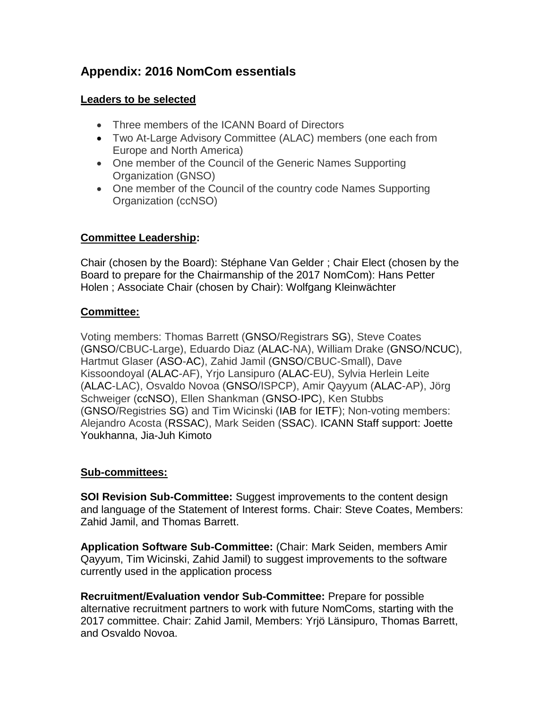## **Appendix: 2016 NomCom essentials**

#### **Leaders to be selected**

- Three members of the ICANN Board of Directors
- Two At-Large Advisory Committee (ALAC) members (one each from Europe and North America)
- One member of the Council of the Generic Names Supporting Organization (GNSO)
- One member of the Council of the country code Names Supporting Organization (ccNSO)

#### **Committee Leadership:**

Chair (chosen by the Board): Stéphane Van Gelder ; Chair Elect (chosen by the Board to prepare for the Chairmanship of the 2017 NomCom): Hans Petter Holen ; Associate Chair (chosen by Chair): Wolfgang Kleinwächter

#### **Committee:**

Voting members: Thomas Barrett (GNSO/Registrars SG), Steve Coates (GNSO/CBUC-Large), Eduardo Diaz (ALAC-NA), William Drake (GNSO/NCUC), Hartmut Glaser (ASO-AC), Zahid Jamil (GNSO/CBUC-Small), Dave Kissoondoyal (ALAC-AF), Yrjo Lansipuro (ALAC-EU), Sylvia Herlein Leite (ALAC-LAC), Osvaldo Novoa (GNSO/ISPCP), Amir Qayyum (ALAC-AP), Jörg Schweiger (ccNSO), Ellen Shankman (GNSO-IPC), Ken Stubbs (GNSO/Registries SG) and Tim Wicinski (IAB for IETF); Non-voting members: Alejandro Acosta (RSSAC), Mark Seiden (SSAC). ICANN Staff support: Joette Youkhanna, Jia-Juh Kimoto

#### **Sub-committees:**

**SOI Revision Sub-Committee:** Suggest improvements to the content design and language of the Statement of Interest forms. Chair: Steve Coates, Members: Zahid Jamil, and Thomas Barrett.

**Application Software Sub-Committee:** (Chair: Mark Seiden, members Amir Qayyum, Tim Wicinski, Zahid Jamil) to suggest improvements to the software currently used in the application process

**Recruitment/Evaluation vendor Sub-Committee:** Prepare for possible alternative recruitment partners to work with future NomComs, starting with the 2017 committee. Chair: Zahid Jamil, Members: Yrjö Länsipuro, Thomas Barrett, and Osvaldo Novoa.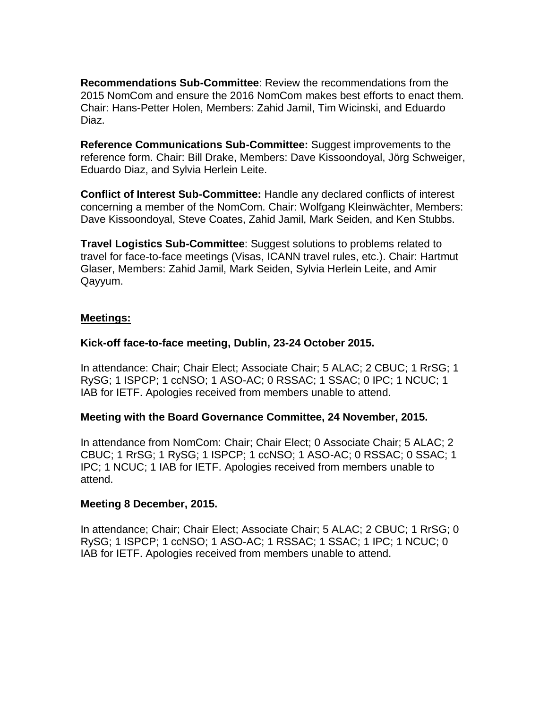**Recommendations Sub-Committee**: Review the recommendations from the 2015 NomCom and ensure the 2016 NomCom makes best efforts to enact them. Chair: Hans-Petter Holen, Members: Zahid Jamil, Tim Wicinski, and Eduardo Diaz.

**Reference Communications Sub-Committee:** Suggest improvements to the reference form. Chair: Bill Drake, Members: Dave Kissoondoyal, Jörg Schweiger, Eduardo Diaz, and Sylvia Herlein Leite.

**Conflict of Interest Sub-Committee:** Handle any declared conflicts of interest concerning a member of the NomCom. Chair: Wolfgang Kleinwächter, Members: Dave Kissoondoyal, Steve Coates, Zahid Jamil, Mark Seiden, and Ken Stubbs.

**Travel Logistics Sub-Committee**: Suggest solutions to problems related to travel for face-to-face meetings (Visas, ICANN travel rules, etc.). Chair: Hartmut Glaser, Members: Zahid Jamil, Mark Seiden, Sylvia Herlein Leite, and Amir Qayyum.

#### **Meetings:**

#### **Kick-off face-to-face meeting, Dublin, 23-24 October 2015.**

In attendance: Chair; Chair Elect; Associate Chair; 5 ALAC; 2 CBUC; 1 RrSG; 1 RySG; 1 ISPCP; 1 ccNSO; 1 ASO-AC; 0 RSSAC; 1 SSAC; 0 IPC; 1 NCUC; 1 IAB for IETF. Apologies received from members unable to attend.

#### **Meeting with the Board Governance Committee, 24 November, 2015.**

In attendance from NomCom: Chair; Chair Elect; 0 Associate Chair; 5 ALAC; 2 CBUC; 1 RrSG; 1 RySG; 1 ISPCP; 1 ccNSO; 1 ASO-AC; 0 RSSAC; 0 SSAC; 1 IPC; 1 NCUC; 1 IAB for IETF. Apologies received from members unable to attend.

#### **Meeting 8 December, 2015.**

In attendance; Chair; Chair Elect; Associate Chair; 5 ALAC; 2 CBUC; 1 RrSG; 0 RySG; 1 ISPCP; 1 ccNSO; 1 ASO-AC; 1 RSSAC; 1 SSAC; 1 IPC; 1 NCUC; 0 IAB for IETF. Apologies received from members unable to attend.